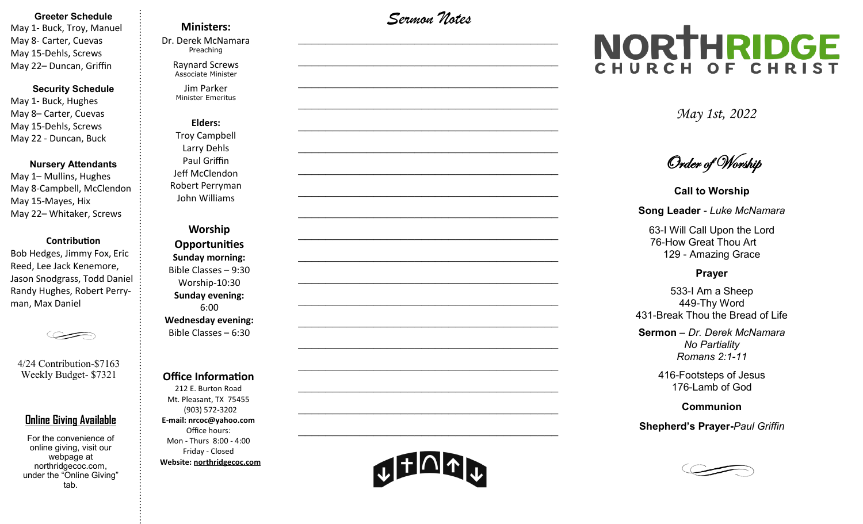#### **Greeter Schedule**

May 1- Buck, Troy, Manuel May 8- Carter, Cuevas May 15-Dehls, Screws May 22– Duncan, Griffin

### **Security Schedule**

May 1- Buck, Hughes May 8– Carter, Cuevas May 15-Dehls, Screws May 22 - Duncan, Buck

#### **Nursery Attendants**

May 1– Mullins, Hughes May 8-Campbell, McClendon May 15-Mayes, Hix May 22– Whitaker, Screws

#### **Contribution**

Bob Hedges, Jimmy Fox, Eric Reed, Lee Jack Kenemore, Jason Snodgrass, Todd Daniel Randy Hughes, Robert Perryman, Max Daniel

4/24 Contribution-\$7163 Weekly Budget- \$7321

### **Online Giving Available**

For the convenience of online giving, visit our webpage at northridgecoc.com, under the "Online Giving" tab.

### **Ministers:**

Dr. Derek McNamara Preaching 

Raynard Screws Associate Minister

Jim Parker Minister Emeritus

**Elders:** Troy Campbell Larry Dehls Paul Griffin Jeff McClendon Robert Perryman John Williams

**Worship Opportunities Sunday morning:**  Bible Classes – 9:30 Worship-10:30 **Sunday evening:**  6:00 **Wednesday evening:** Bible Classes – 6:30

#### **Office Information**

212 E. Burton Road Mt. Pleasant, TX 75455 (903) 572-3202 **E-mail: nrcoc@yahoo.com** Office hours: Mon - Thurs 8:00 - 4:00 Friday - Closed **Website: northridgecoc.com**

*Sermon Notes*

 $\mathcal{L}_\text{max}$ 

 $\mathcal{L}_\text{max}$  , and the set of the set of the set of the set of the set of the set of the set of the set of the set of the set of the set of the set of the set of the set of the set of the set of the set of the set of the

 $\mathcal{L}_\text{max}$  , and the set of the set of the set of the set of the set of the set of the set of the set of the set of the set of the set of the set of the set of the set of the set of the set of the set of the set of the

 $\mathcal{L}_\text{max}$  , and the set of the set of the set of the set of the set of the set of the set of the set of the set of the set of the set of the set of the set of the set of the set of the set of the set of the set of the

 $\mathcal{L}_\text{max}$ 

 $\mathcal{L}_\text{max}$ 

 $\mathcal{L}_\text{max}$  , and the set of the set of the set of the set of the set of the set of the set of the set of the set of the set of the set of the set of the set of the set of the set of the set of the set of the set of the

 $\mathcal{L}_\text{max}$  , and the set of the set of the set of the set of the set of the set of the set of the set of the set of the set of the set of the set of the set of the set of the set of the set of the set of the set of the

 $\mathcal{L}_\text{max}$  , and the set of the set of the set of the set of the set of the set of the set of the set of the set of the set of the set of the set of the set of the set of the set of the set of the set of the set of the

 $\mathcal{L}_\text{max}$ 

 $\mathcal{L}_\text{max}$  , and the set of the set of the set of the set of the set of the set of the set of the set of the set of the set of the set of the set of the set of the set of the set of the set of the set of the set of the

 $\mathcal{L}_\text{max}$  , and the set of the set of the set of the set of the set of the set of the set of the set of the set of the set of the set of the set of the set of the set of the set of the set of the set of the set of the

 $\mathcal{L}_\text{max}$  , and the set of the set of the set of the set of the set of the set of the set of the set of the set of the set of the set of the set of the set of the set of the set of the set of the set of the set of the

 $\mathcal{L}_\text{max}$  , and the set of the set of the set of the set of the set of the set of the set of the set of the set of the set of the set of the set of the set of the set of the set of the set of the set of the set of the

 $\mathcal{L}_\text{max}$ 

 $\mathcal{L}_\text{max}$  , and the set of the set of the set of the set of the set of the set of the set of the set of the set of the set of the set of the set of the set of the set of the set of the set of the set of the set of the

 $\mathcal{L}_\text{max}$  , and the set of the set of the set of the set of the set of the set of the set of the set of the set of the set of the set of the set of the set of the set of the set of the set of the set of the set of the

 $\mathcal{L}_\text{max}$  , and the set of the set of the set of the set of the set of the set of the set of the set of the set of the set of the set of the set of the set of the set of the set of the set of the set of the set of the

 $\mathcal{L}_\text{max}$  , and the set of the set of the set of the set of the set of the set of the set of the set of the set of the set of the set of the set of the set of the set of the set of the set of the set of the set of the

# NORTHRIDGE CHURCH OF CHRIST

*May 1st, 2022*

Order of Worship

**Call to Worship Song Leader** *- Luke McNamara*

63-I Will Call Upon the Lord

76-How Great Thou Art 129 - Amazing Grace

#### **Prayer**

533-I Am a Sheep 449-Thy Word 431-Break Thou the Bread of Life

**Sermon** – *Dr. Derek McNamara No Partiality Romans 2:1-11*

> 416-Footsteps of Jesus 176-Lamb of God

> > **Communion**

**Shepherd's Prayer-***Paul Griffin*